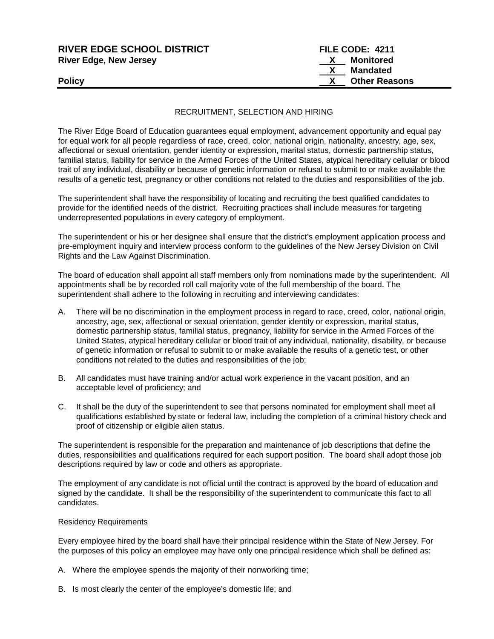| <b>RIVER EDGE SCHOOL DISTRICT</b> | FILE CODE: 4211      |  |
|-----------------------------------|----------------------|--|
| <b>River Edge, New Jersey</b>     | Monitored            |  |
|                                   | Mandated             |  |
| <b>Policy</b>                     | <b>Other Reasons</b> |  |
|                                   |                      |  |

#### RECRUITMENT, SELECTION AND HIRING

The River Edge Board of Education guarantees equal employment, advancement opportunity and equal pay for equal work for all people regardless of race, creed, color, national origin, nationality, ancestry, age, sex, affectional or sexual orientation, gender identity or expression, marital status, domestic partnership status, familial status, liability for service in the Armed Forces of the United States, atypical hereditary cellular or blood trait of any individual, disability or because of genetic information or refusal to submit to or make available the results of a genetic test, pregnancy or other conditions not related to the duties and responsibilities of the job.

The superintendent shall have the responsibility of locating and recruiting the best qualified candidates to provide for the identified needs of the district. Recruiting practices shall include measures for targeting underrepresented populations in every category of employment.

The superintendent or his or her designee shall ensure that the district's employment application process and pre-employment inquiry and interview process conform to the guidelines of the New Jersey Division on Civil Rights and the Law Against Discrimination.

The board of education shall appoint all staff members only from nominations made by the superintendent. All appointments shall be by recorded roll call majority vote of the full membership of the board. The superintendent shall adhere to the following in recruiting and interviewing candidates:

- A. There will be no discrimination in the employment process in regard to race, creed, color, national origin, ancestry, age, sex, affectional or sexual orientation, gender identity or expression, marital status, domestic partnership status, familial status, pregnancy, liability for service in the Armed Forces of the United States, atypical hereditary cellular or blood trait of any individual, nationality, disability, or because of genetic information or refusal to submit to or make available the results of a genetic test, or other conditions not related to the duties and responsibilities of the job;
- B. All candidates must have training and/or actual work experience in the vacant position, and an acceptable level of proficiency; and
- C. It shall be the duty of the superintendent to see that persons nominated for employment shall meet all qualifications established by state or federal law, including the completion of a criminal history check and proof of citizenship or eligible alien status.

The superintendent is responsible for the preparation and maintenance of job descriptions that define the duties, responsibilities and qualifications required for each support position. The board shall adopt those job descriptions required by law or code and others as appropriate.

The employment of any candidate is not official until the contract is approved by the board of education and signed by the candidate. It shall be the responsibility of the superintendent to communicate this fact to all candidates.

#### Residency Requirements

Every employee hired by the board shall have their principal residence within the State of New Jersey. For the purposes of this policy an employee may have only one principal residence which shall be defined as:

- A. Where the employee spends the majority of their nonworking time;
- B. Is most clearly the center of the employee's domestic life; and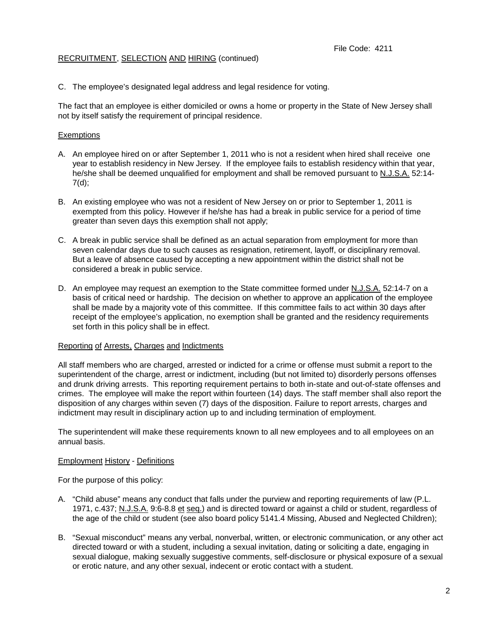## RECRUITMENT, SELECTION AND HIRING (continued)

C. The employee's designated legal address and legal residence for voting.

The fact that an employee is either domiciled or owns a home or property in the State of New Jersey shall not by itself satisfy the requirement of principal residence.

### Exemptions

- A. An employee hired on or after September 1, 2011 who is not a resident when hired shall receive one year to establish residency in New Jersey. If the employee fails to establish residency within that year, he/she shall be deemed unqualified for employment and shall be removed pursuant to N.J.S.A. 52:14- 7(d);
- B. An existing employee who was not a resident of New Jersey on or prior to September 1, 2011 is exempted from this policy. However if he/she has had a break in public service for a period of time greater than seven days this exemption shall not apply;
- C. A break in public service shall be defined as an actual separation from employment for more than seven calendar days due to such causes as resignation, retirement, layoff, or disciplinary removal. But a leave of absence caused by accepting a new appointment within the district shall not be considered a break in public service.
- D. An employee may request an exemption to the State committee formed under N.J.S.A. 52:14-7 on a basis of critical need or hardship. The decision on whether to approve an application of the employee shall be made by a majority vote of this committee. If this committee fails to act within 30 days after receipt of the employee's application, no exemption shall be granted and the residency requirements set forth in this policy shall be in effect.

### Reporting of Arrests, Charges and Indictments

All staff members who are charged, arrested or indicted for a crime or offense must submit a report to the superintendent of the charge, arrest or indictment, including (but not limited to) disorderly persons offenses and drunk driving arrests. This reporting requirement pertains to both in-state and out-of-state offenses and crimes. The employee will make the report within fourteen (14) days. The staff member shall also report the disposition of any charges within seven (7) days of the disposition. Failure to report arrests, charges and indictment may result in disciplinary action up to and including termination of employment.

The superintendent will make these requirements known to all new employees and to all employees on an annual basis.

### Employment History - Definitions

For the purpose of this policy:

- A. "Child abuse" means any conduct that falls under the purview and reporting requirements of law (P.L. 1971, c.437; N.J.S.A. 9:6-8.8 et seq.) and is directed toward or against a child or student, regardless of the age of the child or student (see also board policy 5141.4 Missing, Abused and Neglected Children);
- B. "Sexual misconduct" means any verbal, nonverbal, written, or electronic communication, or any other act directed toward or with a student, including a sexual invitation, dating or soliciting a date, engaging in sexual dialogue, making sexually suggestive comments, self-disclosure or physical exposure of a sexual or erotic nature, and any other sexual, indecent or erotic contact with a student.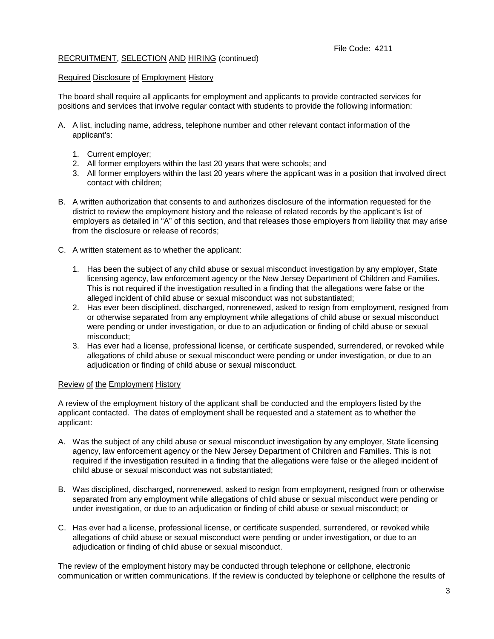# RECRUITMENT, SELECTION AND HIRING (continued)

## Required Disclosure of Employment History

The board shall require all applicants for employment and applicants to provide contracted services for positions and services that involve regular contact with students to provide the following information:

- A. A list, including name, address, telephone number and other relevant contact information of the applicant's:
	- 1. Current employer;
	- 2. All former employers within the last 20 years that were schools; and
	- 3. All former employers within the last 20 years where the applicant was in a position that involved direct contact with children;
- B. A written authorization that consents to and authorizes disclosure of the information requested for the district to review the employment history and the release of related records by the applicant's list of employers as detailed in "A" of this section, and that releases those employers from liability that may arise from the disclosure or release of records;
- C. A written statement as to whether the applicant:
	- 1. Has been the subject of any child abuse or sexual misconduct investigation by any employer, State licensing agency, law enforcement agency or the New Jersey Department of Children and Families. This is not required if the investigation resulted in a finding that the allegations were false or the alleged incident of child abuse or sexual misconduct was not substantiated;
	- 2. Has ever been disciplined, discharged, nonrenewed, asked to resign from employment, resigned from or otherwise separated from any employment while allegations of child abuse or sexual misconduct were pending or under investigation, or due to an adjudication or finding of child abuse or sexual misconduct;
	- 3. Has ever had a license, professional license, or certificate suspended, surrendered, or revoked while allegations of child abuse or sexual misconduct were pending or under investigation, or due to an adjudication or finding of child abuse or sexual misconduct.

### Review of the Employment History

A review of the employment history of the applicant shall be conducted and the employers listed by the applicant contacted. The dates of employment shall be requested and a statement as to whether the applicant:

- A. Was the subject of any child abuse or sexual misconduct investigation by any employer, State licensing agency, law enforcement agency or the New Jersey Department of Children and Families. This is not required if the investigation resulted in a finding that the allegations were false or the alleged incident of child abuse or sexual misconduct was not substantiated;
- B. Was disciplined, discharged, nonrenewed, asked to resign from employment, resigned from or otherwise separated from any employment while allegations of child abuse or sexual misconduct were pending or under investigation, or due to an adjudication or finding of child abuse or sexual misconduct; or
- C. Has ever had a license, professional license, or certificate suspended, surrendered, or revoked while allegations of child abuse or sexual misconduct were pending or under investigation, or due to an adjudication or finding of child abuse or sexual misconduct.

The review of the employment history may be conducted through telephone or cellphone, electronic communication or written communications. If the review is conducted by telephone or cellphone the results of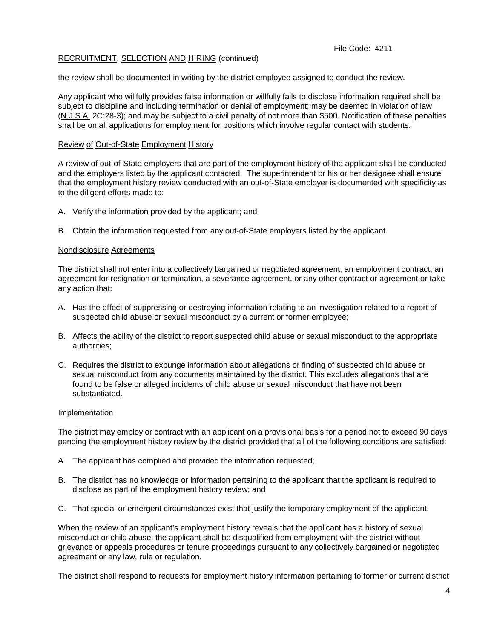### File Code: 4211

## RECRUITMENT, SELECTION AND HIRING (continued)

the review shall be documented in writing by the district employee assigned to conduct the review.

Any applicant who willfully provides false information or willfully fails to disclose information required shall be subject to discipline and including termination or denial of employment; may be deemed in violation of law (N.J.S.A. 2C:28-3); and may be subject to a civil penalty of not more than \$500. Notification of these penalties shall be on all applications for employment for positions which involve regular contact with students.

#### Review of Out-of-State Employment History

A review of out-of-State employers that are part of the employment history of the applicant shall be conducted and the employers listed by the applicant contacted. The superintendent or his or her designee shall ensure that the employment history review conducted with an out-of-State employer is documented with specificity as to the diligent efforts made to:

- A. Verify the information provided by the applicant; and
- B. Obtain the information requested from any out-of-State employers listed by the applicant.

#### Nondisclosure Agreements

The district shall not enter into a collectively bargained or negotiated agreement, an employment contract, an agreement for resignation or termination, a severance agreement, or any other contract or agreement or take any action that:

- A. Has the effect of suppressing or destroying information relating to an investigation related to a report of suspected child abuse or sexual misconduct by a current or former employee;
- B. Affects the ability of the district to report suspected child abuse or sexual misconduct to the appropriate authorities;
- C. Requires the district to expunge information about allegations or finding of suspected child abuse or sexual misconduct from any documents maintained by the district. This excludes allegations that are found to be false or alleged incidents of child abuse or sexual misconduct that have not been substantiated.

#### Implementation

The district may employ or contract with an applicant on a provisional basis for a period not to exceed 90 days pending the employment history review by the district provided that all of the following conditions are satisfied:

- A. The applicant has complied and provided the information requested;
- B. The district has no knowledge or information pertaining to the applicant that the applicant is required to disclose as part of the employment history review; and
- C. That special or emergent circumstances exist that justify the temporary employment of the applicant.

When the review of an applicant's employment history reveals that the applicant has a history of sexual misconduct or child abuse, the applicant shall be disqualified from employment with the district without grievance or appeals procedures or tenure proceedings pursuant to any collectively bargained or negotiated agreement or any law, rule or regulation.

The district shall respond to requests for employment history information pertaining to former or current district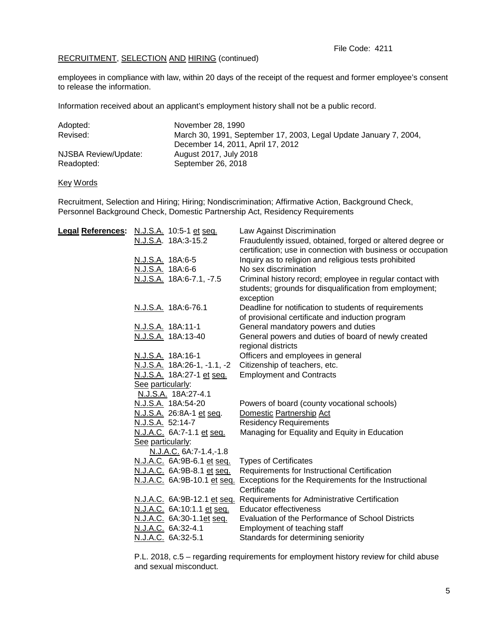# RECRUITMENT, SELECTION AND HIRING (continued)

employees in compliance with law, within 20 days of the receipt of the request and former employee's consent to release the information.

Information received about an applicant's employment history shall not be a public record.

| Adopted:             | November 28, 1990                                                 |
|----------------------|-------------------------------------------------------------------|
| Revised:             | March 30, 1991, September 17, 2003, Legal Update January 7, 2004, |
|                      | December 14, 2011, April 17, 2012                                 |
| NJSBA Review/Update: | August 2017, July 2018                                            |
| Readopted:           | September 26, 2018                                                |

## Key Words

Recruitment, Selection and Hiring; Hiring; Nondiscrimination; Affirmative Action, Background Check, Personnel Background Check, Domestic Partnership Act, Residency Requirements

| Legal References: N.J.S.A. 10:5-1 et seq. | Law Against Discrimination                                                                       |
|-------------------------------------------|--------------------------------------------------------------------------------------------------|
| N.J.S.A. 18A:3-15.2                       | Fraudulently issued, obtained, forged or altered degree or                                       |
|                                           | certification; use in connection with business or occupation                                     |
| N.J.S.A. 18A:6-5                          | Inquiry as to religion and religious tests prohibited                                            |
| N.J.S.A. 18A:6-6                          | No sex discrimination                                                                            |
| N.J.S.A. 18A:6-7.1, -7.5                  | Criminal history record; employee in regular contact with                                        |
|                                           | students; grounds for disqualification from employment;<br>exception                             |
| N.J.S.A. 18A:6-76.1                       | Deadline for notification to students of requirements                                            |
|                                           | of provisional certificate and induction program                                                 |
| N.J.S.A. 18A:11-1                         | General mandatory powers and duties                                                              |
| N.J.S.A. 18A:13-40                        | General powers and duties of board of newly created                                              |
|                                           | regional districts                                                                               |
| N.J.S.A. 18A:16-1                         | Officers and employees in general                                                                |
| N.J.S.A. 18A:26-1, -1.1, -2               | Citizenship of teachers, etc.                                                                    |
| N.J.S.A. 18A:27-1 et seq.                 | <b>Employment and Contracts</b>                                                                  |
| See particularly:                         |                                                                                                  |
| N.J.S.A. 18A:27-4.1                       |                                                                                                  |
| N.J.S.A. 18A:54-20                        | Powers of board (county vocational schools)                                                      |
| N.J.S.A. 26:8A-1 et seq.                  | Domestic Partnership Act                                                                         |
| N.J.S.A. 52:14-7                          | <b>Residency Requirements</b>                                                                    |
| N.J.A.C. 6A:7-1.1 et seq.                 | Managing for Equality and Equity in Education                                                    |
| See particularly:                         |                                                                                                  |
| N.J.A.C. 6A:7-1.4,-1.8                    |                                                                                                  |
| N.J.A.C. 6A:9B-6.1 et seq.                | <b>Types of Certificates</b>                                                                     |
| N.J.A.C. 6A:9B-8.1 et seq.                | Requirements for Instructional Certification                                                     |
|                                           | N.J.A.C. 6A:9B-10.1 et seq. Exceptions for the Requirements for the Instructional<br>Certificate |
|                                           | N.J.A.C. 6A:9B-12.1 et seq. Requirements for Administrative Certification                        |
| N.J.A.C. 6A:10:1.1 et seq.                | <b>Educator effectiveness</b>                                                                    |
| N.J.A.C. 6A:30-1.1et seq.                 | Evaluation of the Performance of School Districts                                                |
| N.J.A.C. 6A:32-4.1                        | Employment of teaching staff                                                                     |
| N.J.A.C. 6A:32-5.1                        | Standards for determining seniority                                                              |
|                                           |                                                                                                  |

P.L. 2018, c.5 – regarding requirements for employment history review for child abuse and sexual misconduct.